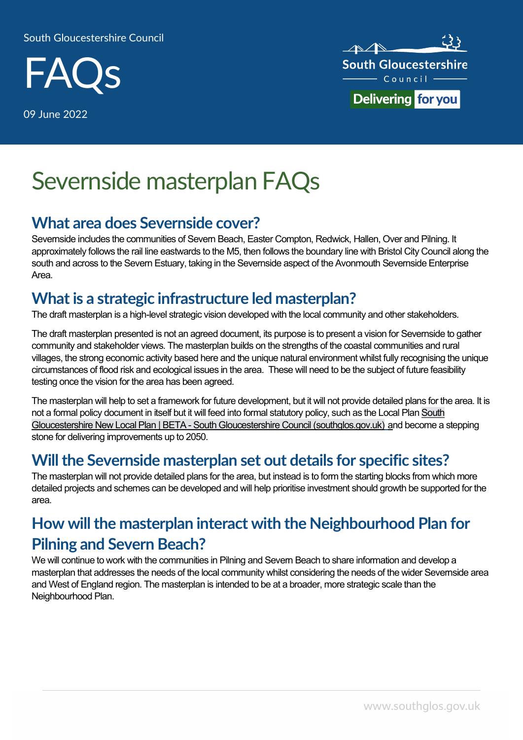#### South Gloucestershire Council



09 June 2022



# Severnside masterplan FAQs

#### What area does Severnside cover?

Severnside includes the communities of Severn Beach, Easter Compton, Redwick, Hallen, Over and Pilning. It approximately follows the rail line eastwards to the M5, then follows the boundary line with Bristol City Council along the south and across to the Severn Estuary, taking in the Severnside aspect of the Avonmouth Severnside Enterprise Area.

#### What is a strategic infrastructure led masterplan?

The draft masterplan is a high-level strategic vision developed with the local community and other stakeholders.

The draft masterplan presented is not an agreed document, its purpose is to present a vision for Severnside to gather community and stakeholder views. The masterplan builds on the strengths of the coastal communities and rural villages, the strong economic activity based here and the unique natural environment whilst fully recognising the unique circumstances of flood risk and ecological issues in the area. These will need to be the subject of future feasibility testing once the vision for the area has been agreed.

The masterplan will help to set a framework for future development, but it will not provide detailed plans for the area. It is not a formal policy document in itself but it will feed into formal statutory policy, such as the Local Plan South Gloucestershire New Local Plan | BETA - South Gloucestershire Council (southglos.gov.uk) and become a stepping stone for delivering improvements up to 2050.

#### Will the Severnside masterplan set out details for specific sites?

The masterplan will not provide detailed plans for the area, but instead is to form the starting blocks from which more detailed projects and schemes can be developed and will help prioritise investment should growth be supported for the area.

# How will the masterplan interact with the Neighbourhood Plan for Pilning and Severn Beach?

We will continue to work with the communities in Pilning and Severn Beach to share information and develop a masterplan that addresses the needs of the local community whilst considering the needs of the wider Severnside area and West of England region. The masterplan is intended to be at a broader, more strategic scale than the Neighbourhood Plan.